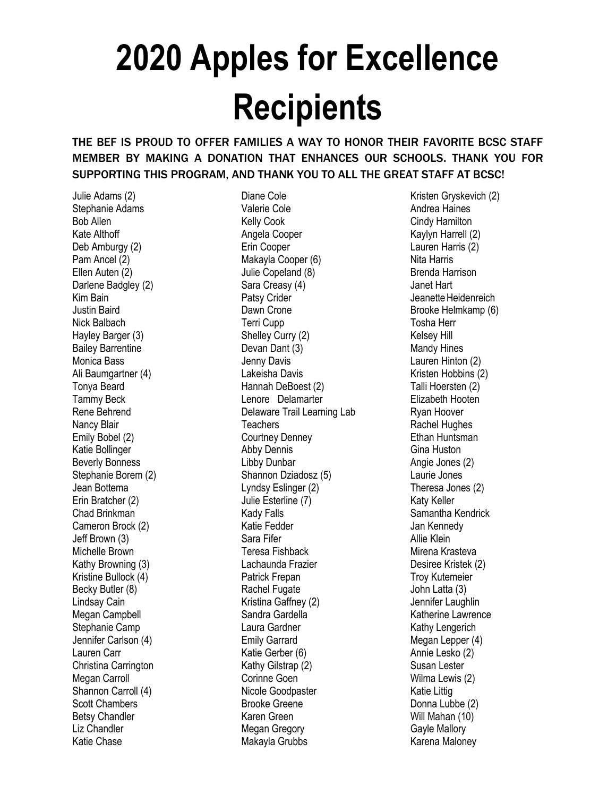## **2020 Apples for Excellence Recipients**

## THE BEF IS PROUD TO OFFER FAMILIES A WAY TO HONOR THEIR FAVORITE BCSC STAFF MEMBER BY MAKING A DONATION THAT ENHANCES OUR SCHOOLS. THANK YOU FOR SUPPORTING THIS PROGRAM, AND THANK YOU TO ALL THE GREAT STAFF AT BCSC!

Julie Adams (2) Stephanie Adams Bob Allen Kate Althoff Deb Amburgy (2) Pam Ancel (2) Ellen Auten (2) Darlene Badgley (2) Kim Bain Justin Baird Nick Balbach Hayley Barger (3) Bailey Barrentine Monica Bass Ali Baumgartner (4) Tonya Beard Tammy Beck Rene Behrend Nancy Blair Emily Bobel (2) Katie Bollinger Beverly Bonness Stephanie Borem (2) Jean Bottema Erin Bratcher (2) Chad Brinkman Cameron Brock (2) Jeff Brown (3) Michelle Brown Kathy Browning (3) Kristine Bullock (4) Becky Butler (8) Lindsay Cain Megan Campbell Stephanie Camp Jennifer Carlson (4) Lauren Carr Christina Carrington Megan Carroll Shannon Carroll (4) Scott Chambers Betsy Chandler Liz Chandler Katie Chase

Diane Cole Valerie Cole Kelly Cook Angela Cooper Erin Cooper Makayla Cooper (6) Julie Copeland (8) Sara Creasy (4) Patsy Crider Dawn Crone Terri Cupp Shelley Curry (2) Devan Dant (3) Jenny Davis Lakeisha Davis Hannah DeBoest (2) Lenore Delamarter Delaware Trail Learning Lab **Teachers** Courtney Denney Abby Dennis Libby Dunbar Shannon Dziadosz (5) Lyndsy Eslinger (2) Julie Esterline (7) Kady Falls Katie Fedder Sara Fifer Teresa Fishback Lachaunda Frazier Patrick Frepan Rachel Fugate Kristina Gaffney (2) Sandra Gardella Laura Gardner Emily Garrard Katie Gerber (6) Kathy Gilstrap (2) Corinne Goen Nicole Goodpaster Brooke Greene Karen Green Megan Gregory Makayla Grubbs

Kristen Gryskevich (2) Andrea Haines Cindy Hamilton Kaylyn Harrell (2) Lauren Harris (2) Nita Harris Brenda Harrison Janet Hart Jeanette Heidenreich Brooke Helmkamp (6) Tosha Herr Kelsey Hill Mandy Hines Lauren Hinton (2) Kristen Hobbins (2) Talli Hoersten (2) Elizabeth Hooten Ryan Hoover Rachel Hughes Ethan Huntsman Gina Huston Angie Jones (2) Laurie Jones Theresa Jones (2) Katy Keller Samantha Kendrick Jan Kennedy Allie Klein Mirena Krasteva Desiree Kristek (2) Troy Kutemeier John Latta (3) Jennifer Laughlin Katherine Lawrence Kathy Lengerich Megan Lepper (4) Annie Lesko (2) Susan Lester Wilma Lewis (2) Katie Littig Donna Lubbe (2) Will Mahan (10) Gayle Mallory Karena Maloney